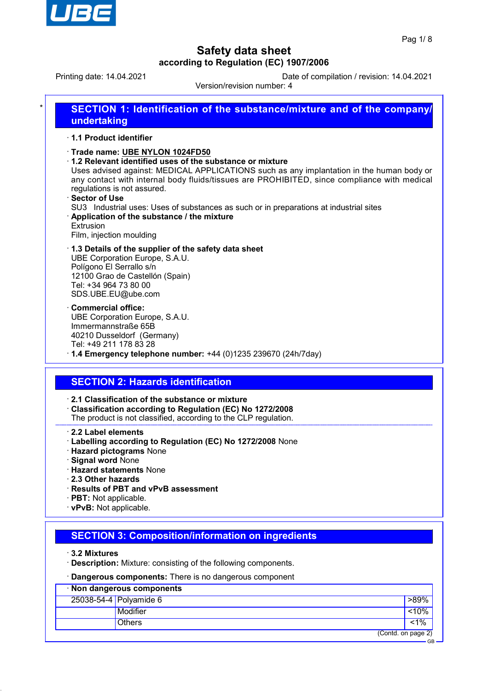

GB

# **Safety data sheet according to Regulation (EC) 1907/2006**

Printing date: 14.04.2021 Date of compilation / revision: 14.04.2021

Version/revision number: 4

| 1.1 Product identifier                                                                  |                                                                                                                                                                                                                                                                                                                                                                                                                                       |
|-----------------------------------------------------------------------------------------|---------------------------------------------------------------------------------------------------------------------------------------------------------------------------------------------------------------------------------------------------------------------------------------------------------------------------------------------------------------------------------------------------------------------------------------|
| regulations is not assured.<br>· Sector of Use<br>Extrusion<br>Film, injection moulding | Trade name: UBE NYLON 1024FD50<br>$\cdot$ 1.2 Relevant identified uses of the substance or mixture<br>Uses advised against: MEDICAL APPLICATIONS such as any implantation in the human body or<br>any contact with internal body fluids/tissues are PROHIBITED, since compliance with medical<br>SU3 Industrial uses: Uses of substances as such or in preparations at industrial sites<br>Application of the substance / the mixture |
| Polígono El Serrallo s/n                                                                | 1.3 Details of the supplier of the safety data sheet                                                                                                                                                                                                                                                                                                                                                                                  |
| Tel: +34 964 73 80 00                                                                   | UBE Corporation Europe, S.A.U.                                                                                                                                                                                                                                                                                                                                                                                                        |
| SDS.UBE.EU@ube.com                                                                      | 12100 Grao de Castellón (Spain)                                                                                                                                                                                                                                                                                                                                                                                                       |
| <b>Commercial office:</b>                                                               | UBE Corporation Europe, S.A.U.                                                                                                                                                                                                                                                                                                                                                                                                        |
| Immermannstraße 65B                                                                     | 40210 Dusseldorf (Germany)                                                                                                                                                                                                                                                                                                                                                                                                            |
| Tel: +49 211 178 83 28                                                                  | $\cdot$ 1.4 Emergency telephone number: +44 (0)1235 239670 (24h/7day)                                                                                                                                                                                                                                                                                                                                                                 |

· **2.1 Classification of the substance or mixture** · **Classification according to Regulation (EC) No 1272/2008**

The product is not classified, according to the CLP regulation.

#### · **2.2 Label elements**

- · **Labelling according to Regulation (EC) No 1272/2008** None
- · **Hazard pictograms** None
- · **Signal word** None
- · **Hazard statements** None
- · **2.3 Other hazards**
- · **Results of PBT and vPvB assessment**
- · **PBT:** Not applicable.
- · **vPvB:** Not applicable.

## **SECTION 3: Composition/information on ingredients**

· **3.2 Mixtures**

· **Description:** Mixture: consisting of the following components.

· **Dangerous components:** There is no dangerous component

| Non dangerous components |                        |                    |  |  |
|--------------------------|------------------------|--------------------|--|--|
|                          | 25038-54-4 Polyamide 6 | $>89\%$            |  |  |
|                          | Modifier               | < 10%              |  |  |
|                          | <b>Others</b>          | $1\%$              |  |  |
|                          |                        | (Contd. on page 2) |  |  |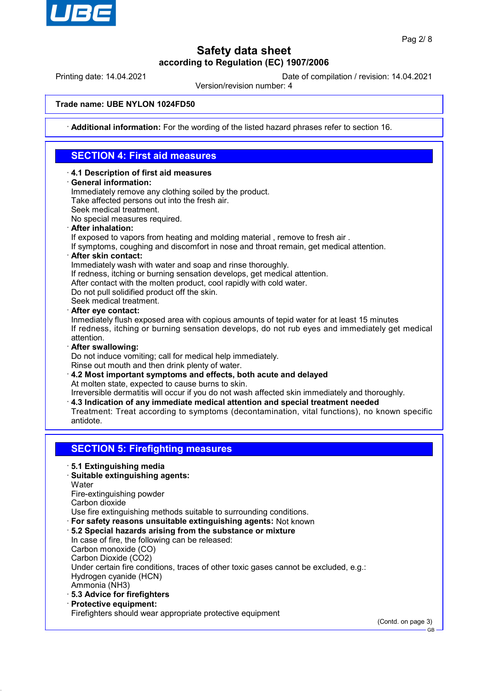

Printing date: 14.04.2021 Date of compilation / revision: 14.04.2021

Version/revision number: 4

### **Trade name: UBE NYLON 1024FD50**

· **Additional information:** For the wording of the listed hazard phrases refer to section 16.

# **SECTION 4: First aid measures**

- · **4.1 Description of first aid measures**
- · **General information:**

Immediately remove any clothing soiled by the product. Take affected persons out into the fresh air.

Seek medical treatment.

No special measures required.

· **After inhalation:**

If exposed to vapors from heating and molding material , remove to fresh air .

- If symptoms, coughing and discomfort in nose and throat remain, get medical attention.
- · **After skin contact:**

Immediately wash with water and soap and rinse thoroughly.

If redness, itching or burning sensation develops, get medical attention.

After contact with the molten product, cool rapidly with cold water.

Do not pull solidified product off the skin.

Seek medical treatment.

· **After eye contact:**

Inmediately flush exposed area with copious amounts of tepid water for at least 15 minutes If redness, itching or burning sensation develops, do not rub eyes and immediately get medical attention.

· **After swallowing:**

Do not induce vomiting; call for medical help immediately.

Rinse out mouth and then drink plenty of water.

· **4.2 Most important symptoms and effects, both acute and delayed** At molten state, expected to cause burns to skin.

Irreversible dermatitis will occur if you do not wash affected skin immediately and thoroughly.

- · **4.3 Indication of any immediate medical attention and special treatment needed**
- Treatment: Treat according to symptoms (decontamination, vital functions), no known specific antidote.

## **SECTION 5: Firefighting measures**

- · **5.1 Extinguishing media**
- · **Suitable extinguishing agents:**

**Water** 

Fire-extinguishing powder

Carbon dioxide

Use fire extinguishing methods suitable to surrounding conditions.

- · **For safety reasons unsuitable extinguishing agents:** Not known
- · **5.2 Special hazards arising from the substance or mixture**

In case of fire, the following can be released: Carbon monoxide (CO) Carbon Dioxide (CO2)

Under certain fire conditions, traces of other toxic gases cannot be excluded, e.g.: Hydrogen cyanide (HCN)

Ammonia (NH3)

- · **5.3 Advice for firefighters**
- · **Protective equipment:**

Firefighters should wear appropriate protective equipment

(Contd. on page 3)

GB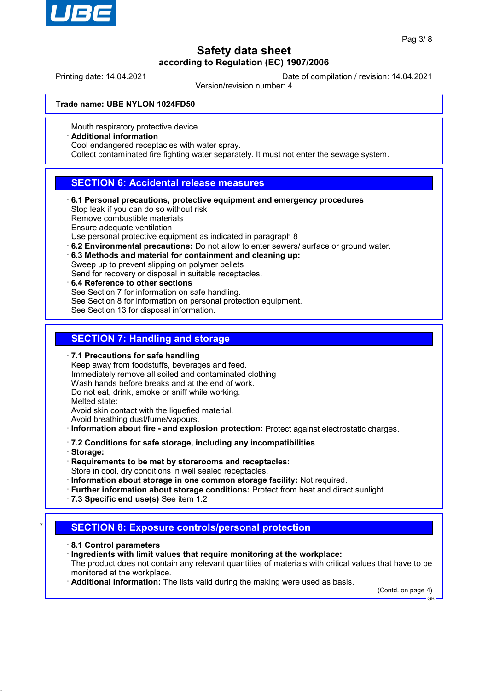

Printing date: 14.04.2021 Date of compilation / revision: 14.04.2021

Version/revision number: 4

#### **Trade name: UBE NYLON 1024FD50**

Mouth respiratory protective device.

### · **Additional information**

Cool endangered receptacles with water spray.

Collect contaminated fire fighting water separately. It must not enter the sewage system.

## **SECTION 6: Accidental release measures**

- · **6.1 Personal precautions, protective equipment and emergency procedures** Stop leak if you can do so without risk Remove combustible materials Ensure adequate ventilation Use personal protective equipment as indicated in paragraph 8 · **6.2 Environmental precautions:** Do not allow to enter sewers/ surface or ground water.
- · **6.3 Methods and material for containment and cleaning up:** Sweep up to prevent slipping on polymer pellets Send for recovery or disposal in suitable receptacles.
- · **6.4 Reference to other sections**
- See Section 7 for information on safe handling.
- See Section 8 for information on personal protection equipment.

See Section 13 for disposal information.

### **SECTION 7: Handling and storage**

#### · **7.1 Precautions for safe handling**

Keep away from foodstuffs, beverages and feed. Immediately remove all soiled and contaminated clothing Wash hands before breaks and at the end of work. Do not eat, drink, smoke or sniff while working. Melted state: Avoid skin contact with the liquefied material. Avoid breathing dust/fume/vapours.

· **Information about fire - and explosion protection:** Protect against electrostatic charges.

- · **7.2 Conditions for safe storage, including any incompatibilities**
- · **Storage:**
- · **Requirements to be met by storerooms and receptacles:** Store in cool, dry conditions in well sealed receptacles.
- · **Information about storage in one common storage facility:** Not required.
- · **Further information about storage conditions:** Protect from heat and direct sunlight.
- · **7.3 Specific end use(s)** See item 1.2

## **SECTION 8: Exposure controls/personal protection**

- · **8.1 Control parameters**
- · **Ingredients with limit values that require monitoring at the workplace:**

The product does not contain any relevant quantities of materials with critical values that have to be monitored at the workplace.

· **Additional information:** The lists valid during the making were used as basis.

(Contd. on page 4) GB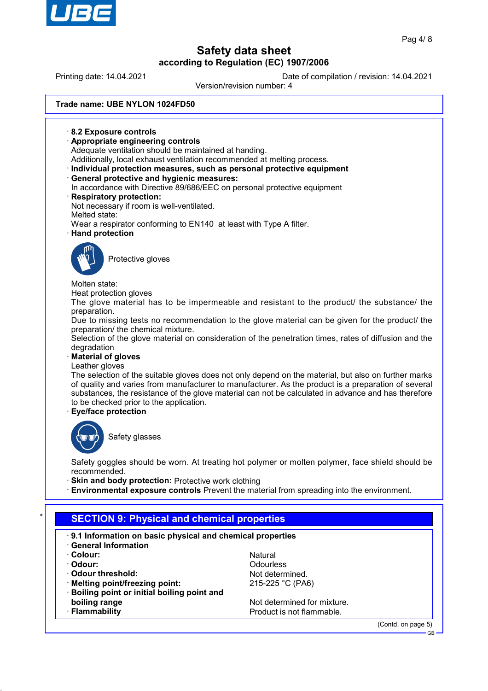

Printing date: 14.04.2021 Date of compilation / revision: 14.04.2021

Version/revision number: 4

**Trade name: UBE NYLON 1024FD50** · **8.2 Exposure controls** · **Appropriate engineering controls** Adequate ventilation should be maintained at handing. Additionally, local exhaust ventilation recommended at melting process. · **Individual protection measures, such as personal protective equipment** · **General protective and hygienic measures:** In accordance with Directive 89/686/EEC on personal protective equipment · **Respiratory protection:** Not necessary if room is well-ventilated. Melted state: Wear a respirator conforming to EN140 at least with Type A filter. · **Hand protection** Protective gloves Molten state: Heat protection gloves The glove material has to be impermeable and resistant to the product/ the substance/ the preparation. Due to missing tests no recommendation to the glove material can be given for the product/ the preparation/ the chemical mixture. Selection of the glove material on consideration of the penetration times, rates of diffusion and the degradation · **Material of gloves** Leather gloves The selection of the suitable gloves does not only depend on the material, but also on further marks of quality and varies from manufacturer to manufacturer. As the product is a preparation of several substances, the resistance of the glove material can not be calculated in advance and has therefore to be checked prior to the application. · **Eye/face protection** Safety glasses Safety goggles should be worn. At treating hot polymer or molten polymer, face shield should be recommended. **Skin and body protection: Protective work clothing** · **Environmental exposure controls** Prevent the material from spreading into the environment. **SECTION 9: Physical and chemical properties** 

- · **9.1 Information on basic physical and chemical properties**
- · **General Information**
- 
- 
- 
- Melting point/freezing point: 215-225 °C (PA6)
- · **Boiling point or initial boiling point and boiling range** Not determined for mixture.
- 

· **Colour:** Natural · **Odour:** Odourless **Odour threshold:** Not determined.

**Flammability Flammability Flammability Product is not flammable.** 

(Contd. on page 5)

GB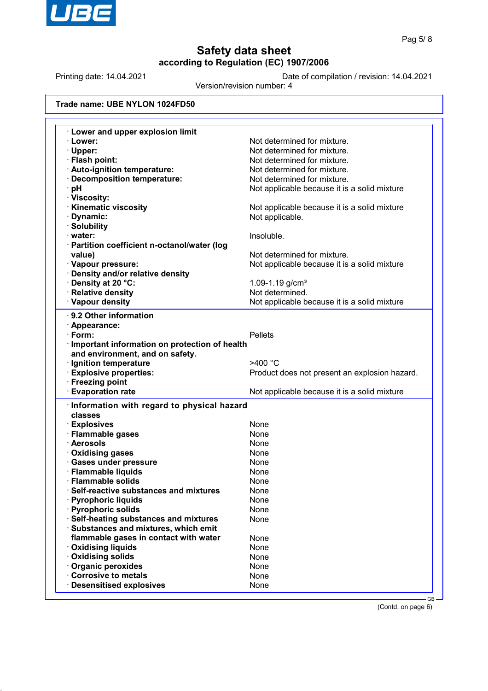

Printing date: 14.04.2021 Date of compilation / revision: 14.04.2021

Version/revision number: 4

## **Trade name: UBE NYLON 1024FD50**

| <b>Lower and upper explosion limit</b>                                                                                                                                               |                                               |
|--------------------------------------------------------------------------------------------------------------------------------------------------------------------------------------|-----------------------------------------------|
| · Lower:                                                                                                                                                                             | Not determined for mixture.                   |
| · Upper:                                                                                                                                                                             | Not determined for mixture.                   |
| · Flash point:                                                                                                                                                                       | Not determined for mixture.                   |
| · Auto-ignition temperature:                                                                                                                                                         | Not determined for mixture.                   |
| Decomposition temperature:                                                                                                                                                           | Not determined for mixture.                   |
| ∙ pH                                                                                                                                                                                 | Not applicable because it is a solid mixture  |
| · Viscosity:                                                                                                                                                                         |                                               |
| <b>Kinematic viscosity</b>                                                                                                                                                           | Not applicable because it is a solid mixture  |
| · Dynamic:                                                                                                                                                                           | Not applicable.                               |
| · Solubility                                                                                                                                                                         |                                               |
| · water:                                                                                                                                                                             | Insoluble.                                    |
| · Partition coefficient n-octanol/water (log                                                                                                                                         |                                               |
| value)                                                                                                                                                                               | Not determined for mixture.                   |
| · Vapour pressure:                                                                                                                                                                   | Not applicable because it is a solid mixture  |
| · Density and/or relative density                                                                                                                                                    |                                               |
| Density at 20 °C:                                                                                                                                                                    | 1.09-1.19 $g/cm3$                             |
| · Relative density                                                                                                                                                                   | Not determined.                               |
| · Vapour density                                                                                                                                                                     | Not applicable because it is a solid mixture  |
|                                                                                                                                                                                      |                                               |
| 9.2 Other information                                                                                                                                                                |                                               |
| · Appearance:                                                                                                                                                                        |                                               |
| $\cdot$ Form:                                                                                                                                                                        | <b>Pellets</b>                                |
| · Important information on protection of health                                                                                                                                      |                                               |
| and environment, and on safety.                                                                                                                                                      |                                               |
| · Ignition temperature                                                                                                                                                               | >400 °C                                       |
| <b>Explosive properties:</b>                                                                                                                                                         | Product does not present an explosion hazard. |
| · Freezing point                                                                                                                                                                     |                                               |
| <b>Evaporation rate</b>                                                                                                                                                              | Not applicable because it is a solid mixture  |
| Information with regard to physical hazard                                                                                                                                           |                                               |
| classes                                                                                                                                                                              |                                               |
| · Explosives                                                                                                                                                                         | None                                          |
| · Flammable gases                                                                                                                                                                    | None                                          |
| · Aerosols                                                                                                                                                                           | None                                          |
| · Oxidising gases                                                                                                                                                                    | None                                          |
| · Gases under pressure                                                                                                                                                               | None                                          |
| · Flammable liquids                                                                                                                                                                  | None                                          |
| · Flammable solids                                                                                                                                                                   | None                                          |
| Self-reactive substances and mixtures                                                                                                                                                | None                                          |
| · Pyrophoric liquids                                                                                                                                                                 | None                                          |
|                                                                                                                                                                                      | None                                          |
|                                                                                                                                                                                      |                                               |
|                                                                                                                                                                                      |                                               |
|                                                                                                                                                                                      | None                                          |
|                                                                                                                                                                                      |                                               |
| flammable gases in contact with water                                                                                                                                                | None                                          |
|                                                                                                                                                                                      | None                                          |
|                                                                                                                                                                                      | None                                          |
| · Pyrophoric solids<br>· Self-heating substances and mixtures<br>· Substances and mixtures, which emit<br><b>Oxidising liquids</b><br><b>Oxidising solids</b><br>· Organic peroxides | None                                          |
| Corrosive to metals<br><b>Desensitised explosives</b>                                                                                                                                | None<br>None                                  |

(Contd. on page 6)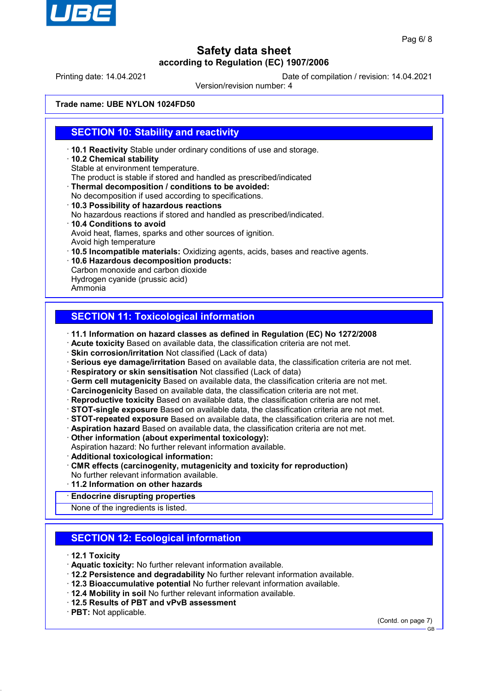

Printing date: 14.04.2021 Date of compilation / revision: 14.04.2021

Version/revision number: 4

### **Trade name: UBE NYLON 1024FD50**

## **SECTION 10: Stability and reactivity**

- · **10.1 Reactivity** Stable under ordinary conditions of use and storage.
- · **10.2 Chemical stability** Stable at environment temperature. The product is stable if stored and handled as prescribed/indicated
- · **Thermal decomposition / conditions to be avoided:**
- No decomposition if used according to specifications.
- · **10.3 Possibility of hazardous reactions** No hazardous reactions if stored and handled as prescribed/indicated. · **10.4 Conditions to avoid**
- Avoid heat, flames, sparks and other sources of ignition. Avoid high temperature
- · **10.5 Incompatible materials:** Oxidizing agents, acids, bases and reactive agents.
- · **10.6 Hazardous decomposition products:** Carbon monoxide and carbon dioxide Hydrogen cyanide (prussic acid)
- Ammonia

## **SECTION 11: Toxicological information**

- · **11.1 Information on hazard classes as defined in Regulation (EC) No 1272/2008**
- · **Acute toxicity** Based on available data, the classification criteria are not met.
- · **Skin corrosion/irritation** Not classified (Lack of data)
- · **Serious eye damage/irritation** Based on available data, the classification criteria are not met.
- · **Respiratory or skin sensitisation** Not classified (Lack of data)
- · **Germ cell mutagenicity** Based on available data, the classification criteria are not met.
- · **Carcinogenicity** Based on available data, the classification criteria are not met.
- · **Reproductive toxicity** Based on available data, the classification criteria are not met.
- · **STOT-single exposure** Based on available data, the classification criteria are not met.
- · **STOT-repeated exposure** Based on available data, the classification criteria are not met.
- · **Aspiration hazard** Based on available data, the classification criteria are not met.
- · **Other information (about experimental toxicology):**
- Aspiration hazard: No further relevant information available.
- · **Additional toxicological information:**
- · **CMR effects (carcinogenity, mutagenicity and toxicity for reproduction)** No further relevant information available.
- · **11.2 Information on other hazards**
- · **Endocrine disrupting properties**

None of the ingredients is listed.

## **SECTION 12: Ecological information**

- · **12.1 Toxicity**
- · **Aquatic toxicity:** No further relevant information available.
- · **12.2 Persistence and degradability** No further relevant information available.
- · **12.3 Bioaccumulative potential** No further relevant information available.
- · **12.4 Mobility in soil** No further relevant information available.
- · **12.5 Results of PBT and vPvB assessment**
- · **PBT:** Not applicable.

(Contd. on page 7) GB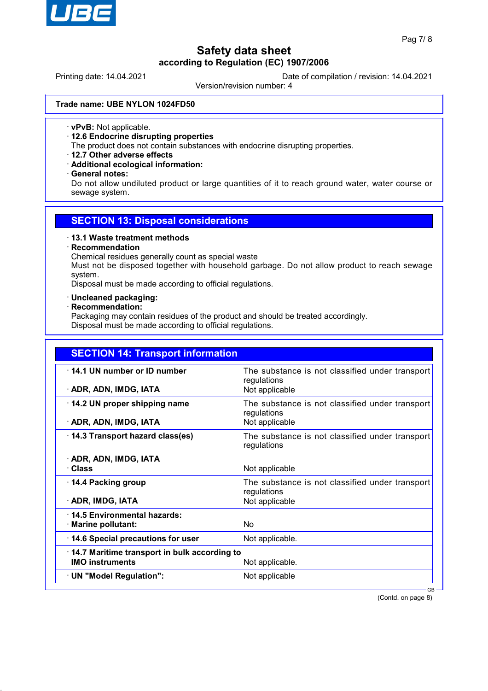

Printing date: 14.04.2021 Date of compilation / revision: 14.04.2021

Version/revision number: 4

#### **Trade name: UBE NYLON 1024FD50**

· **vPvB:** Not applicable.

· **12.6 Endocrine disrupting properties**

The product does not contain substances with endocrine disrupting properties.

- · **12.7 Other adverse effects**
- · **Additional ecological information:**
- · **General notes:**

Do not allow undiluted product or large quantities of it to reach ground water, water course or sewage system.

### **SECTION 13: Disposal considerations**

#### · **13.1 Waste treatment methods**

### · **Recommendation**

Chemical residues generally count as special waste

Must not be disposed together with household garbage. Do not allow product to reach sewage system.

Disposal must be made according to official regulations.

#### · **Uncleaned packaging:**

#### · **Recommendation:**

Packaging may contain residues of the product and should be treated accordingly. Disposal must be made according to official regulations.

| <b>SECTION 14: Transport information</b>              |                                                                                  |
|-------------------------------------------------------|----------------------------------------------------------------------------------|
| 14.1 UN number or ID number<br>· ADR, ADN, IMDG, IATA | The substance is not classified under transport<br>regulations<br>Not applicable |
|                                                       |                                                                                  |
| 14.2 UN proper shipping name                          | The substance is not classified under transport<br>regulations                   |
| · ADR, ADN, IMDG, IATA                                | Not applicable                                                                   |
| 14.3 Transport hazard class(es)                       | The substance is not classified under transport<br>regulations                   |
| · ADR, ADN, IMDG, IATA                                |                                                                                  |
| · Class                                               | Not applicable                                                                   |
| 14.4 Packing group                                    | The substance is not classified under transport<br>regulations                   |
| · ADR, IMDG, IATA                                     | Not applicable                                                                   |
| 14.5 Environmental hazards:                           |                                                                                  |
| · Marine pollutant:                                   | <b>No</b>                                                                        |
| 14.6 Special precautions for user                     | Not applicable.                                                                  |
| 14.7 Maritime transport in bulk according to          |                                                                                  |
| <b>IMO instruments</b>                                | Not applicable.                                                                  |
| · UN "Model Regulation":                              | Not applicable                                                                   |
|                                                       | $GB -$                                                                           |

(Contd. on page 8)